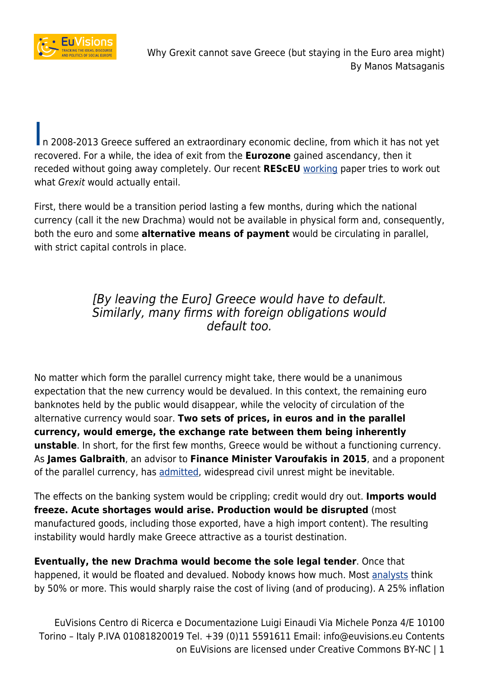

In 2008-2013 Greece suffered an extraordinary economic decline, from which it has not yet recovered. For a while, the idea of exit from the **Eurozone** gained ascendancy, then it receded without going away completely. Our recent **REScEU** [working](http://www.resceu.eu/publications/working-papers/wp-1-2017-why-grexit-cannot-save-greece-but-staying-in-the-euro-area-might.html) paper tries to work out what *Grexit* would actually entail.

First, there would be a transition period lasting a few months, during which the national currency (call it the new Drachma) would not be available in physical form and, consequently, both the euro and some **alternative means of payment** would be circulating in parallel, with strict capital controls in place.

### [By leaving the Euro] Greece would have to default. Similarly, many firms with foreign obligations would default too.

No matter which form the parallel currency might take, there would be a unanimous expectation that the new currency would be devalued. In this context, the remaining euro banknotes held by the public would disappear, while the velocity of circulation of the alternative currency would soar. **Two sets of prices, in euros and in the parallel currency, would emerge, the exchange rate between them being inherently unstable**. In short, for the first few months, Greece would be without a functioning currency. As **James Galbraith**, an advisor to **Finance Minister Varoufakis in 2015**, and a proponent of the parallel currency, has [admitted,](http://yalebooks.yale.edu/book/9780300220445/welcome-poisoned-chalice) widespread civil unrest might be inevitable.

The effects on the banking system would be crippling; credit would dry out. **Imports would freeze. Acute shortages would arise. Production would be disrupted** (most manufactured goods, including those exported, have a high import content). The resulting instability would hardly make Greece attractive as a tourist destination.

**Eventually, the new Drachma would become the sole legal tender**. Once that happened, it would be floated and devalued. Nobody knows how much. Most [analysts](http://willembuiter.com/grexit.pdf) think by 50% or more. This would sharply raise the cost of living (and of producing). A 25% inflation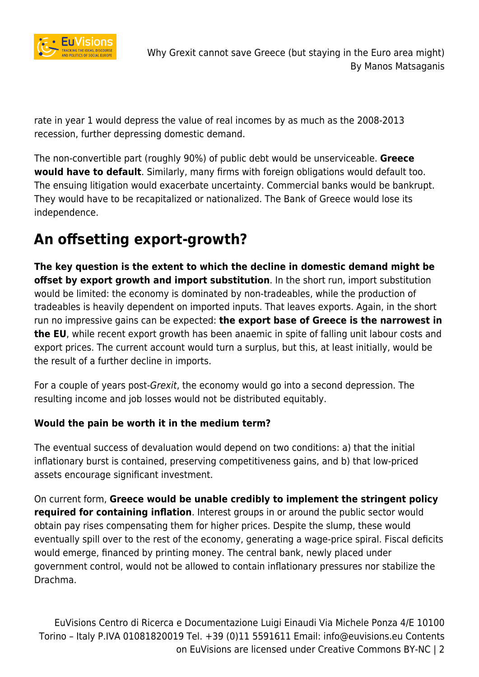

rate in year 1 would depress the value of real incomes by as much as the 2008-2013 recession, further depressing domestic demand.

The non-convertible part (roughly 90%) of public debt would be unserviceable. **Greece would have to default**. Similarly, many firms with foreign obligations would default too. The ensuing litigation would exacerbate uncertainty. Commercial banks would be bankrupt. They would have to be recapitalized or nationalized. The Bank of Greece would lose its independence.

## **An offsetting export-growth?**

**The key question is the extent to which the decline in domestic demand might be offset by export growth and import substitution**. In the short run, import substitution would be limited: the economy is dominated by non-tradeables, while the production of tradeables is heavily dependent on imported inputs. That leaves exports. Again, in the short run no impressive gains can be expected: **the export base of Greece is the narrowest in the EU**, while recent export growth has been anaemic in spite of falling unit labour costs and export prices. The current account would turn a surplus, but this, at least initially, would be the result of a further decline in imports.

For a couple of years post-Grexit, the economy would go into a second depression. The resulting income and job losses would not be distributed equitably.

#### **Would the pain be worth it in the medium term?**

The eventual success of devaluation would depend on two conditions: a) that the initial inflationary burst is contained, preserving competitiveness gains, and b) that low-priced assets encourage significant investment.

On current form, **Greece would be unable credibly to implement the stringent policy required for containing inflation**. Interest groups in or around the public sector would obtain pay rises compensating them for higher prices. Despite the slump, these would eventually spill over to the rest of the economy, generating a wage-price spiral. Fiscal deficits would emerge, financed by printing money. The central bank, newly placed under government control, would not be allowed to contain inflationary pressures nor stabilize the Drachma.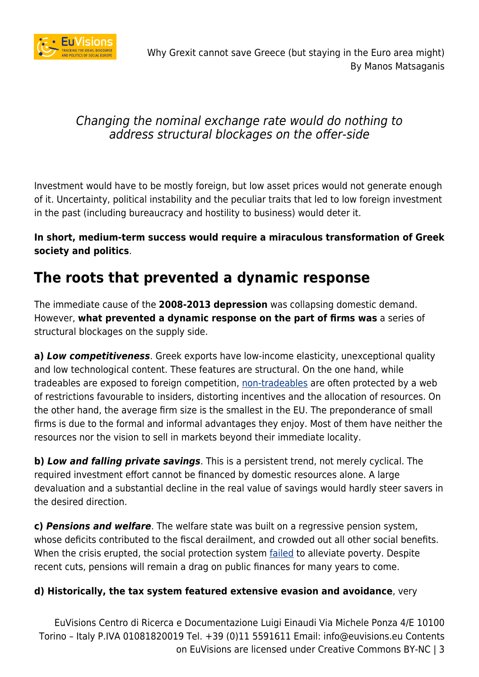

### Changing the nominal exchange rate would do nothing to address structural blockages on the offer-side

Investment would have to be mostly foreign, but low asset prices would not generate enough of it. Uncertainty, political instability and the peculiar traits that led to low foreign investment in the past (including bureaucracy and hostility to business) would deter it.

**In short, medium-term success would require a miraculous transformation of Greek society and politics**.

### **The roots that prevented a dynamic response**

The immediate cause of the **2008-2013 depression** was collapsing domestic demand. However, **what prevented a dynamic response on the part of firms was** a series of structural blockages on the supply side.

**a)** *Low competitiveness*. Greek exports have low-income elasticity, unexceptional quality and low technological content. These features are structural. On the one hand, while tradeables are exposed to foreign competition, [non-tradeables](https://aristosd.files.wordpress.com/2011/04/shifting-to-tradables-clean.pdf) are often protected by a web of restrictions favourable to insiders, distorting incentives and the allocation of resources. On the other hand, the average firm size is the smallest in the EU. The preponderance of small firms is due to the formal and informal advantages they enjoy. Most of them have neither the resources nor the vision to sell in markets beyond their immediate locality.

**b)** *Low and falling private savings*. This is a persistent trend, not merely cyclical. The required investment effort cannot be financed by domestic resources alone. A large devaluation and a substantial decline in the real value of savings would hardly steer savers in the desired direction.

**c)** *Pensions and welfare*. The welfare state was built on a regressive pension system, whose deficits contributed to the fiscal derailment, and crowded out all other social benefits. When the crisis erupted, the social protection system [failed](http://journals.sagepub.com/doi/abs/10.1177/0958928711418858) to alleviate poverty. Despite recent cuts, pensions will remain a drag on public finances for many years to come.

#### **d) Historically, the tax system featured extensive evasion and avoidance**, very